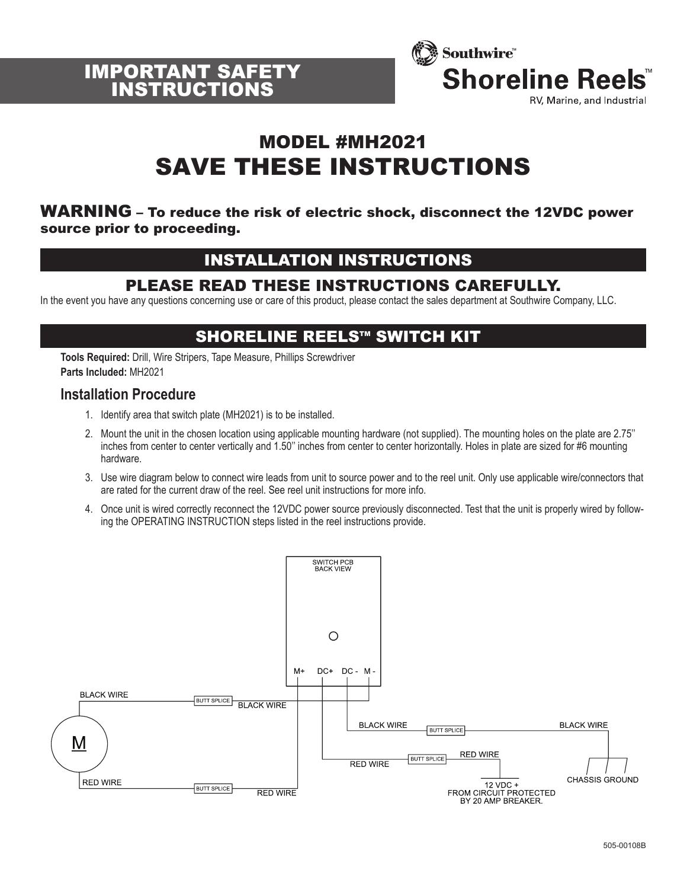



# MODEL #MH2021 SAVE THESE INSTRUCTIONS

#### WARNING – To reduce the risk of electric shock, disconnect the 12VDC power source prior to proceeding.

## INSTALLATION INSTRUCTIONS

### PLEASE READ THESE INSTRUCTIONS CAREFULLY.

In the event you have any questions concerning use or care of this product, please contact the sales department at Southwire Company, LLC.

### SHORELINE REELS™ SWITCH KIT

**Tools Required:** Drill, Wire Stripers, Tape Measure, Phillips Screwdriver **Parts Included:** MH2021

### **Installation Procedure**

- 1. Identify area that switch plate (MH2021) is to be installed.
- 2. Mount the unit in the chosen location using applicable mounting hardware (not supplied). The mounting holes on the plate are 2.75'' inches from center to center vertically and 1.50'' inches from center to center horizontally. Holes in plate are sized for #6 mounting hardware.
- 3. Use wire diagram below to connect wire leads from unit to source power and to the reel unit. Only use applicable wire/connectors that are rated for the current draw of the reel. See reel unit instructions for more info.
- 4. Once unit is wired correctly reconnect the 12VDC power source previously disconnected. Test that the unit is properly wired by following the OPERATING INSTRUCTION steps listed in the reel instructions provide.